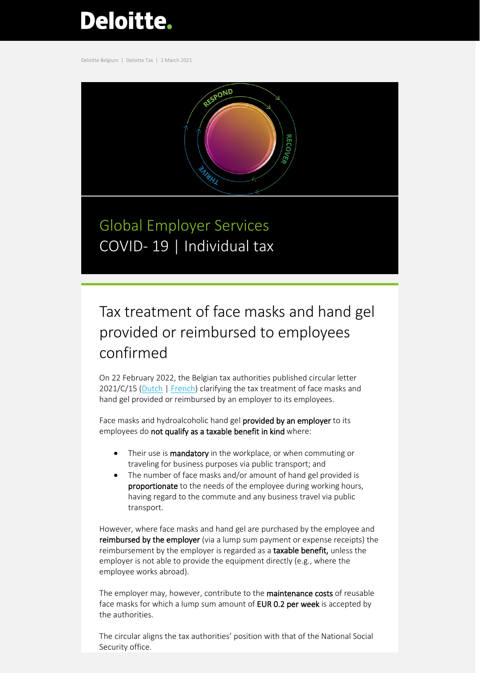# **Deloitte.**

Deloitte Belgium | Deloitte Tax | 2 March 2021



Global Employer Services COVID-19 | Individual tax

## Tax treatment of face masks and hand gel provided or reimbursed to employees confirmed

On 22 February 2022, the Belgian tax authorities published circular letter 2021/C/15 [\(Dutch](https://www2.deloitte.com/content/dam/Deloitte/be/Documents/tax/TaxAlerts/IndividualTaxAlerts/Circulaire%20_mark__mark_2021_C_15__mark___mark_%20over%20de%20terbeschikkingstelling%20en%20terugbetaling%20van%20mondmaskers%20en%20hydroalcoholische%20handgels.pdf) [| French\)](https://www2.deloitte.com/content/dam/Deloitte/be/Documents/tax/TaxAlerts/IndividualTaxAlerts/Circulaire%202021_C_15%20relative%20%C3%A0%20la%20mise%20%C3%A0%20disposition%20et%20au%20remboursement%20de%20masques%20et%20de%20gels%20hydroalcooliques%20pour%20les%20mains.pdf) clarifying the tax treatment of face masks and hand gel provided or reimbursed by an employer to its employees.

Face masks and hydroalcoholic hand gel provided by an employer to its employees do not qualify as a taxable benefit in kind where:

- Their use is mandatory in the workplace, or when commuting or traveling for business purposes via public transport; and
- The number of face masks and/or amount of hand gel provided is proportionate to the needs of the employee during working hours, having regard to the commute and any business travel via public transport.

However, where face masks and hand gel are purchased by the employee and reimbursed by the employer (via a lump sum payment or expense receipts) the reimbursement by the employer is regarded as a taxable benefit, unless the employer is not able to provide the equipment directly (e.g., where the employee works abroad).

The employer may, however, contribute to the maintenance costs of reusable face masks for which a lump sum amount of **EUR 0.2 per week** is accepted by the authorities.

The circular aligns the tax authorities' position with that of the National Social Security office.